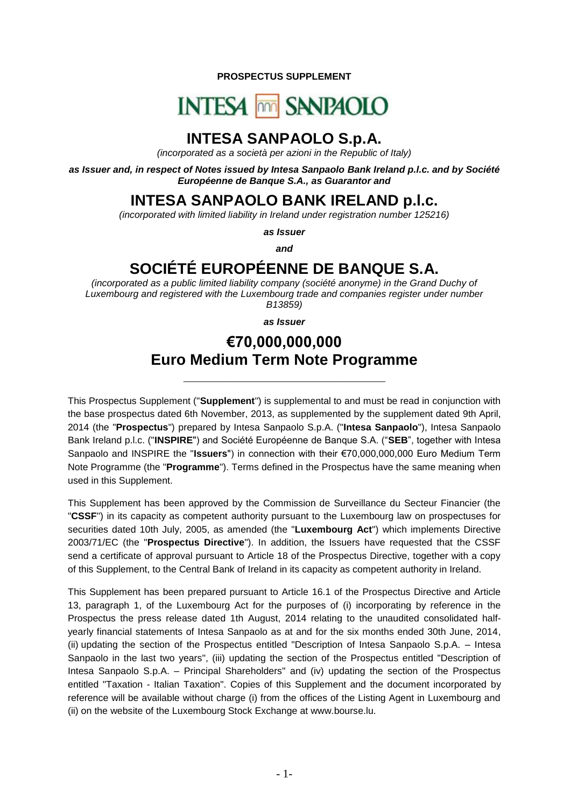**PROSPECTUS SUPPLEMENT**

# **INTESA MM SANPAOLO**

# **INTESA SANPAOLO S.p.A.**

*(incorporated as a società per azioni in the Republic of Italy)*

*as Issuer and, in respect of Notes issued by Intesa Sanpaolo Bank Ireland p.l.c. and by Société Européenne de Banque S.A., as Guarantor and*

**INTESA SANPAOLO BANK IRELAND p.l.c.**

*(incorporated with limited liability in Ireland under registration number 125216)*

*as Issuer*

*and*

# **SOCIÉTÉ EUROPÉENNE DE BANQUE S.A.**

*(incorporated as a public limited liability company (société anonyme) in the Grand Duchy of Luxembourg and registered with the Luxembourg trade and companies register under number B13859)*

*as Issuer*

# **€70,000,000,000 Euro Medium Term Note Programme**

**\_\_\_\_\_\_\_\_\_\_\_\_\_\_\_\_\_\_\_\_\_\_\_\_\_\_\_**

This Prospectus Supplement ("**Supplement**") is supplemental to and must be read in conjunction with the base prospectus dated 6th November, 2013, as supplemented by the supplement dated 9th April, 2014 (the "**Prospectus**") prepared by Intesa Sanpaolo S.p.A. ("**Intesa Sanpaolo**"), Intesa Sanpaolo Bank Ireland p.l.c. ("**INSPIRE**") and Société Européenne de Banque S.A. ("**SEB**", together with Intesa Sanpaolo and INSPIRE the "**Issuers**") in connection with their €70,000,000,000 Euro Medium Term Note Programme (the "**Programme**"). Terms defined in the Prospectus have the same meaning when used in this Supplement.

This Supplement has been approved by the Commission de Surveillance du Secteur Financier (the "**CSSF**") in its capacity as competent authority pursuant to the Luxembourg law on prospectuses for securities dated 10th July, 2005, as amended (the "**Luxembourg Act**") which implements Directive 2003/71/EC (the "**Prospectus Directive**"). In addition, the Issuers have requested that the CSSF send a certificate of approval pursuant to Article 18 of the Prospectus Directive, together with a copy of this Supplement, to the Central Bank of Ireland in its capacity as competent authority in Ireland.

This Supplement has been prepared pursuant to Article 16.1 of the Prospectus Directive and Article 13, paragraph 1, of the Luxembourg Act for the purposes of (i) incorporating by reference in the Prospectus the press release dated 1th August, 2014 relating to the unaudited consolidated halfyearly financial statements of Intesa Sanpaolo as at and for the six months ended 30th June, 2014, (ii) updating the section of the Prospectus entitled "Description of Intesa Sanpaolo S.p.A. – Intesa Sanpaolo in the last two years", (iii) updating the section of the Prospectus entitled "Description of Intesa Sanpaolo S.p.A. – Principal Shareholders" and (iv) updating the section of the Prospectus entitled "Taxation - Italian Taxation". Copies of this Supplement and the document incorporated by reference will be available without charge (i) from the offices of the Listing Agent in Luxembourg and (ii) on the website of the Luxembourg Stock Exchange at www.bourse.lu.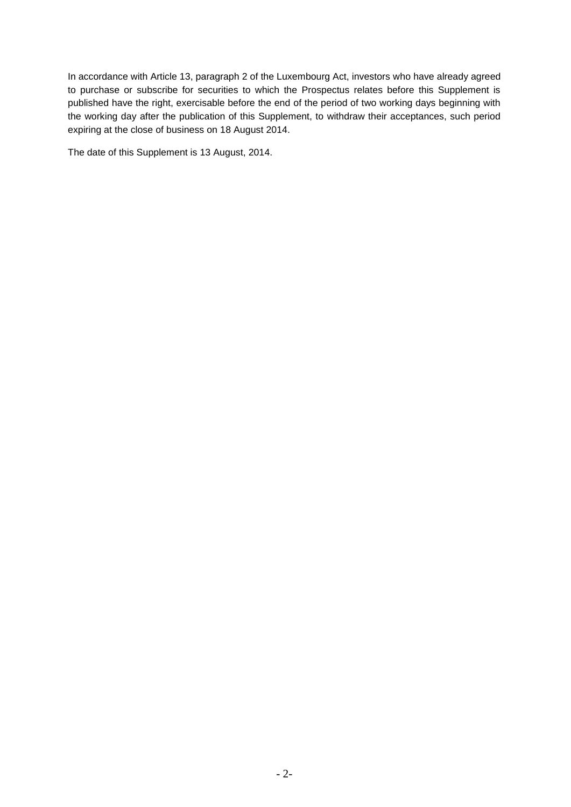In accordance with Article 13, paragraph 2 of the Luxembourg Act, investors who have already agreed to purchase or subscribe for securities to which the Prospectus relates before this Supplement is published have the right, exercisable before the end of the period of two working days beginning with the working day after the publication of this Supplement, to withdraw their acceptances, such period expiring at the close of business on 18 August 2014.

The date of this Supplement is 13 August, 2014.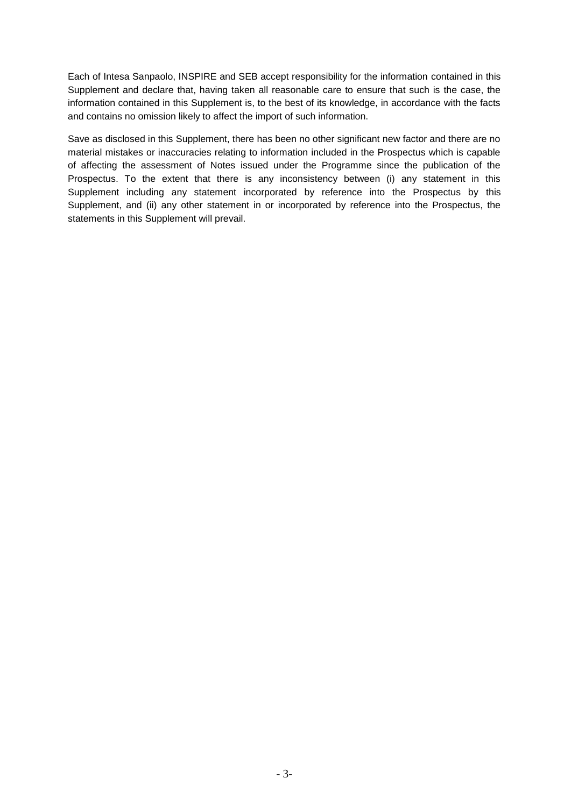Each of Intesa Sanpaolo, INSPIRE and SEB accept responsibility for the information contained in this Supplement and declare that, having taken all reasonable care to ensure that such is the case, the information contained in this Supplement is, to the best of its knowledge, in accordance with the facts and contains no omission likely to affect the import of such information.

Save as disclosed in this Supplement, there has been no other significant new factor and there are no material mistakes or inaccuracies relating to information included in the Prospectus which is capable of affecting the assessment of Notes issued under the Programme since the publication of the Prospectus. To the extent that there is any inconsistency between (i) any statement in this Supplement including any statement incorporated by reference into the Prospectus by this Supplement, and (ii) any other statement in or incorporated by reference into the Prospectus, the statements in this Supplement will prevail.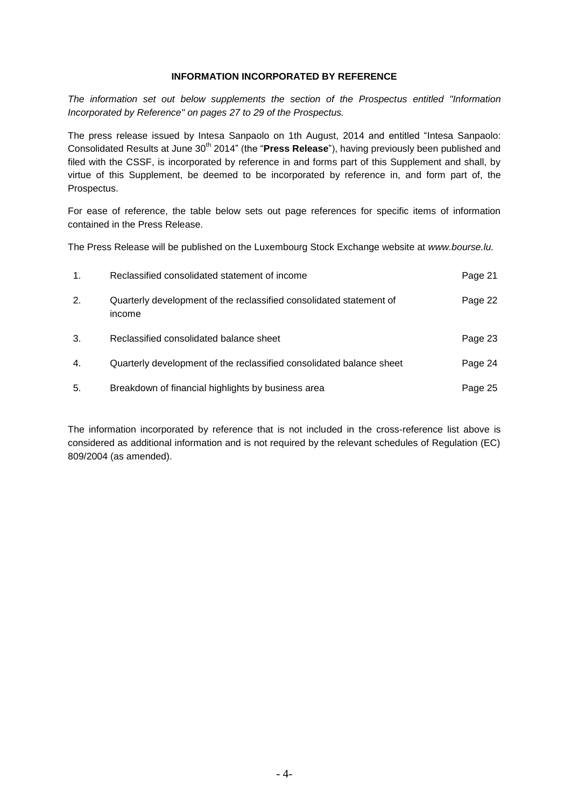# **INFORMATION INCORPORATED BY REFERENCE**

*The information set out below supplements the section of the Prospectus entitled "Information Incorporated by Reference" on pages 27 to 29 of the Prospectus.*

The press release issued by Intesa Sanpaolo on 1th August, 2014 and entitled "Intesa Sanpaolo: Consolidated Results at June 30<sup>th</sup> 2014" (the "**Press Release**"), having previously been published and filed with the CSSF, is incorporated by reference in and forms part of this Supplement and shall, by virtue of this Supplement, be deemed to be incorporated by reference in, and form part of, the Prospectus.

For ease of reference, the table below sets out page references for specific items of information contained in the Press Release.

The Press Release will be published on the Luxembourg Stock Exchange website at *www.bourse.lu.*

| $\mathbf{1}$ . | Reclassified consolidated statement of income                                 | Page 21 |
|----------------|-------------------------------------------------------------------------------|---------|
| 2.             | Quarterly development of the reclassified consolidated statement of<br>income | Page 22 |
| 3.             | Reclassified consolidated balance sheet                                       | Page 23 |
| 4.             | Quarterly development of the reclassified consolidated balance sheet          | Page 24 |
| 5.             | Breakdown of financial highlights by business area                            | Page 25 |

The information incorporated by reference that is not included in the cross-reference list above is considered as additional information and is not required by the relevant schedules of Regulation (EC) 809/2004 (as amended).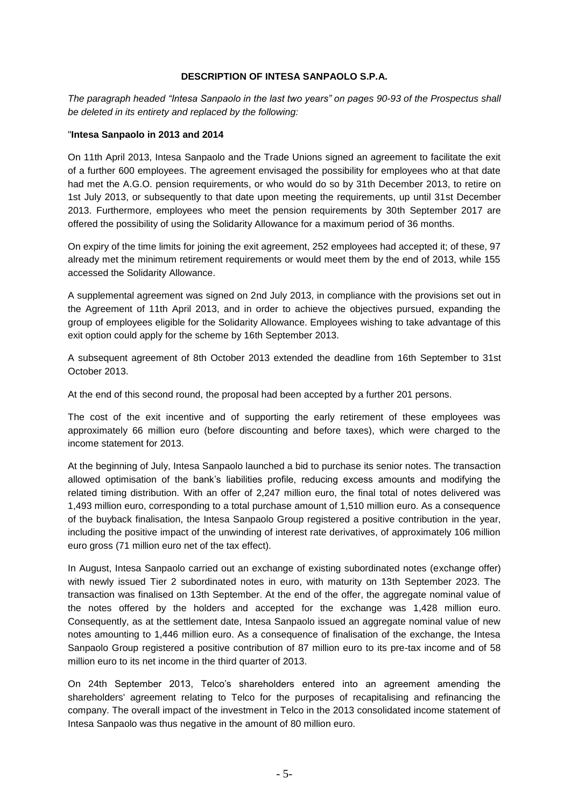# **DESCRIPTION OF INTESA SANPAOLO S.P.A.**

*The paragraph headed "Intesa Sanpaolo in the last two years" on pages 90-93 of the Prospectus shall be deleted in its entirety and replaced by the following:*

#### "**Intesa Sanpaolo in 2013 and 2014**

On 11th April 2013, Intesa Sanpaolo and the Trade Unions signed an agreement to facilitate the exit of a further 600 employees. The agreement envisaged the possibility for employees who at that date had met the A.G.O. pension requirements, or who would do so by 31th December 2013, to retire on 1st July 2013, or subsequently to that date upon meeting the requirements, up until 31st December 2013. Furthermore, employees who meet the pension requirements by 30th September 2017 are offered the possibility of using the Solidarity Allowance for a maximum period of 36 months.

On expiry of the time limits for joining the exit agreement, 252 employees had accepted it; of these, 97 already met the minimum retirement requirements or would meet them by the end of 2013, while 155 accessed the Solidarity Allowance.

A supplemental agreement was signed on 2nd July 2013, in compliance with the provisions set out in the Agreement of 11th April 2013, and in order to achieve the objectives pursued, expanding the group of employees eligible for the Solidarity Allowance. Employees wishing to take advantage of this exit option could apply for the scheme by 16th September 2013.

A subsequent agreement of 8th October 2013 extended the deadline from 16th September to 31st October 2013.

At the end of this second round, the proposal had been accepted by a further 201 persons.

The cost of the exit incentive and of supporting the early retirement of these employees was approximately 66 million euro (before discounting and before taxes), which were charged to the income statement for 2013.

At the beginning of July, Intesa Sanpaolo launched a bid to purchase its senior notes. The transaction allowed optimisation of the bank's liabilities profile, reducing excess amounts and modifying the related timing distribution. With an offer of 2,247 million euro, the final total of notes delivered was 1,493 million euro, corresponding to a total purchase amount of 1,510 million euro. As a consequence of the buyback finalisation, the Intesa Sanpaolo Group registered a positive contribution in the year, including the positive impact of the unwinding of interest rate derivatives, of approximately 106 million euro gross (71 million euro net of the tax effect).

In August, Intesa Sanpaolo carried out an exchange of existing subordinated notes (exchange offer) with newly issued Tier 2 subordinated notes in euro, with maturity on 13th September 2023. The transaction was finalised on 13th September. At the end of the offer, the aggregate nominal value of the notes offered by the holders and accepted for the exchange was 1,428 million euro. Consequently, as at the settlement date, Intesa Sanpaolo issued an aggregate nominal value of new notes amounting to 1,446 million euro. As a consequence of finalisation of the exchange, the Intesa Sanpaolo Group registered a positive contribution of 87 million euro to its pre-tax income and of 58 million euro to its net income in the third quarter of 2013.

On 24th September 2013, Telco's shareholders entered into an agreement amending the shareholders' agreement relating to Telco for the purposes of recapitalising and refinancing the company. The overall impact of the investment in Telco in the 2013 consolidated income statement of Intesa Sanpaolo was thus negative in the amount of 80 million euro.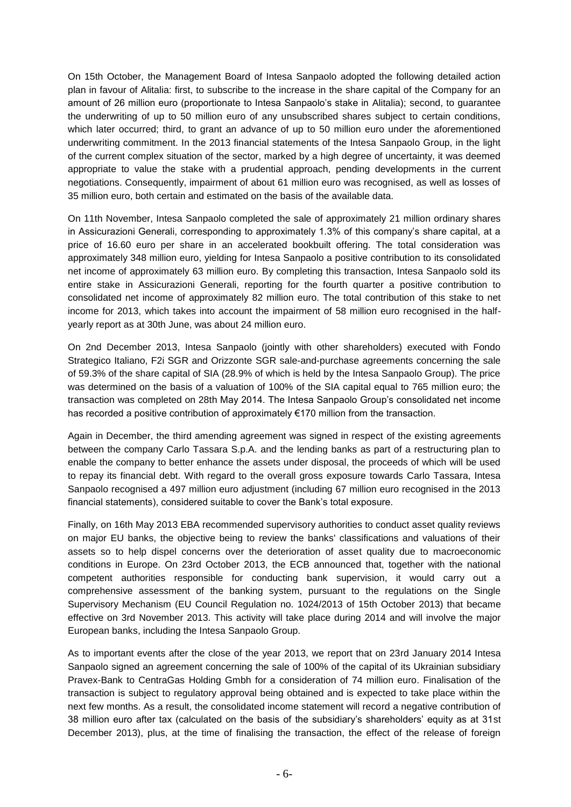On 15th October, the Management Board of Intesa Sanpaolo adopted the following detailed action plan in favour of Alitalia: first, to subscribe to the increase in the share capital of the Company for an amount of 26 million euro (proportionate to Intesa Sanpaolo's stake in Alitalia); second, to guarantee the underwriting of up to 50 million euro of any unsubscribed shares subject to certain conditions, which later occurred; third, to grant an advance of up to 50 million euro under the aforementioned underwriting commitment. In the 2013 financial statements of the Intesa Sanpaolo Group, in the light of the current complex situation of the sector, marked by a high degree of uncertainty, it was deemed appropriate to value the stake with a prudential approach, pending developments in the current negotiations. Consequently, impairment of about 61 million euro was recognised, as well as losses of 35 million euro, both certain and estimated on the basis of the available data.

On 11th November, Intesa Sanpaolo completed the sale of approximately 21 million ordinary shares in Assicurazioni Generali, corresponding to approximately 1.3% of this company's share capital, at a price of 16.60 euro per share in an accelerated bookbuilt offering. The total consideration was approximately 348 million euro, yielding for Intesa Sanpaolo a positive contribution to its consolidated net income of approximately 63 million euro. By completing this transaction, Intesa Sanpaolo sold its entire stake in Assicurazioni Generali, reporting for the fourth quarter a positive contribution to consolidated net income of approximately 82 million euro. The total contribution of this stake to net income for 2013, which takes into account the impairment of 58 million euro recognised in the halfyearly report as at 30th June, was about 24 million euro.

On 2nd December 2013, Intesa Sanpaolo (jointly with other shareholders) executed with Fondo Strategico Italiano, F2i SGR and Orizzonte SGR sale-and-purchase agreements concerning the sale of 59.3% of the share capital of SIA (28.9% of which is held by the Intesa Sanpaolo Group). The price was determined on the basis of a valuation of 100% of the SIA capital equal to 765 million euro; the transaction was completed on 28th May 2014. The Intesa Sanpaolo Group's consolidated net income has recorded a positive contribution of approximately €170 million from the transaction.

Again in December, the third amending agreement was signed in respect of the existing agreements between the company Carlo Tassara S.p.A. and the lending banks as part of a restructuring plan to enable the company to better enhance the assets under disposal, the proceeds of which will be used to repay its financial debt. With regard to the overall gross exposure towards Carlo Tassara, Intesa Sanpaolo recognised a 497 million euro adjustment (including 67 million euro recognised in the 2013 financial statements), considered suitable to cover the Bank's total exposure.

Finally, on 16th May 2013 EBA recommended supervisory authorities to conduct asset quality reviews on major EU banks, the objective being to review the banks' classifications and valuations of their assets so to help dispel concerns over the deterioration of asset quality due to macroeconomic conditions in Europe. On 23rd October 2013, the ECB announced that, together with the national competent authorities responsible for conducting bank supervision, it would carry out a comprehensive assessment of the banking system, pursuant to the regulations on the Single Supervisory Mechanism (EU Council Regulation no. 1024/2013 of 15th October 2013) that became effective on 3rd November 2013. This activity will take place during 2014 and will involve the major European banks, including the Intesa Sanpaolo Group.

As to important events after the close of the year 2013, we report that on 23rd January 2014 Intesa Sanpaolo signed an agreement concerning the sale of 100% of the capital of its Ukrainian subsidiary Pravex-Bank to CentraGas Holding Gmbh for a consideration of 74 million euro. Finalisation of the transaction is subject to regulatory approval being obtained and is expected to take place within the next few months. As a result, the consolidated income statement will record a negative contribution of 38 million euro after tax (calculated on the basis of the subsidiary's shareholders' equity as at 31st December 2013), plus, at the time of finalising the transaction, the effect of the release of foreign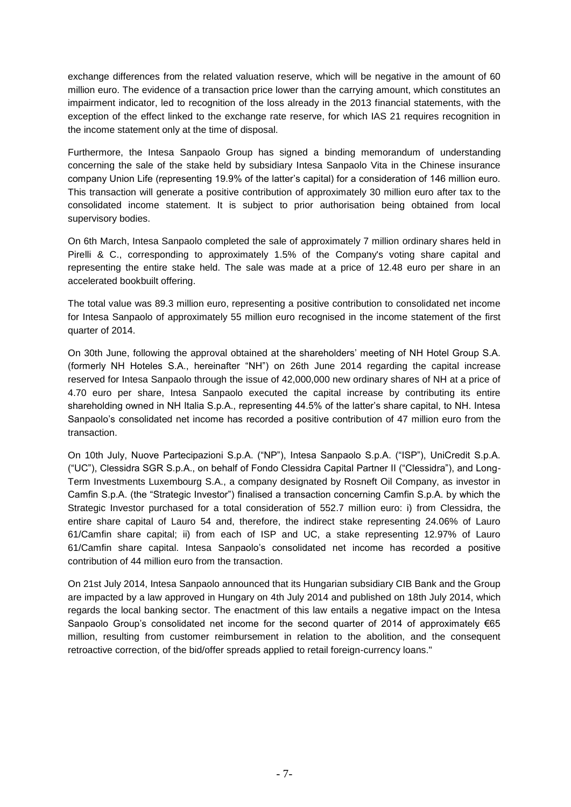exchange differences from the related valuation reserve, which will be negative in the amount of 60 million euro. The evidence of a transaction price lower than the carrying amount, which constitutes an impairment indicator, led to recognition of the loss already in the 2013 financial statements, with the exception of the effect linked to the exchange rate reserve, for which IAS 21 requires recognition in the income statement only at the time of disposal.

Furthermore, the Intesa Sanpaolo Group has signed a binding memorandum of understanding concerning the sale of the stake held by subsidiary Intesa Sanpaolo Vita in the Chinese insurance company Union Life (representing 19.9% of the latter's capital) for a consideration of 146 million euro. This transaction will generate a positive contribution of approximately 30 million euro after tax to the consolidated income statement. It is subject to prior authorisation being obtained from local supervisory bodies.

On 6th March, Intesa Sanpaolo completed the sale of approximately 7 million ordinary shares held in Pirelli & C., corresponding to approximately 1.5% of the Company's voting share capital and representing the entire stake held. The sale was made at a price of 12.48 euro per share in an accelerated bookbuilt offering.

The total value was 89.3 million euro, representing a positive contribution to consolidated net income for Intesa Sanpaolo of approximately 55 million euro recognised in the income statement of the first quarter of 2014.

On 30th June, following the approval obtained at the shareholders' meeting of NH Hotel Group S.A. (formerly NH Hoteles S.A., hereinafter "NH") on 26th June 2014 regarding the capital increase reserved for Intesa Sanpaolo through the issue of 42,000,000 new ordinary shares of NH at a price of 4.70 euro per share, Intesa Sanpaolo executed the capital increase by contributing its entire shareholding owned in NH Italia S.p.A., representing 44.5% of the latter's share capital, to NH. Intesa Sanpaolo's consolidated net income has recorded a positive contribution of 47 million euro from the transaction.

On 10th July, Nuove Partecipazioni S.p.A. ("NP"), Intesa Sanpaolo S.p.A. ("ISP"), UniCredit S.p.A. ("UC"), Clessidra SGR S.p.A., on behalf of Fondo Clessidra Capital Partner II ("Clessidra"), and Long-Term Investments Luxembourg S.A., a company designated by Rosneft Oil Company, as investor in Camfin S.p.A. (the "Strategic Investor") finalised a transaction concerning Camfin S.p.A. by which the Strategic Investor purchased for a total consideration of 552.7 million euro: i) from Clessidra, the entire share capital of Lauro 54 and, therefore, the indirect stake representing 24.06% of Lauro 61/Camfin share capital; ii) from each of ISP and UC, a stake representing 12.97% of Lauro 61/Camfin share capital. Intesa Sanpaolo's consolidated net income has recorded a positive contribution of 44 million euro from the transaction.

On 21st July 2014, Intesa Sanpaolo announced that its Hungarian subsidiary CIB Bank and the Group are impacted by a law approved in Hungary on 4th July 2014 and published on 18th July 2014, which regards the local banking sector. The enactment of this law entails a negative impact on the Intesa Sanpaolo Group's consolidated net income for the second quarter of 2014 of approximately €65 million, resulting from customer reimbursement in relation to the abolition, and the consequent retroactive correction, of the bid/offer spreads applied to retail foreign-currency loans."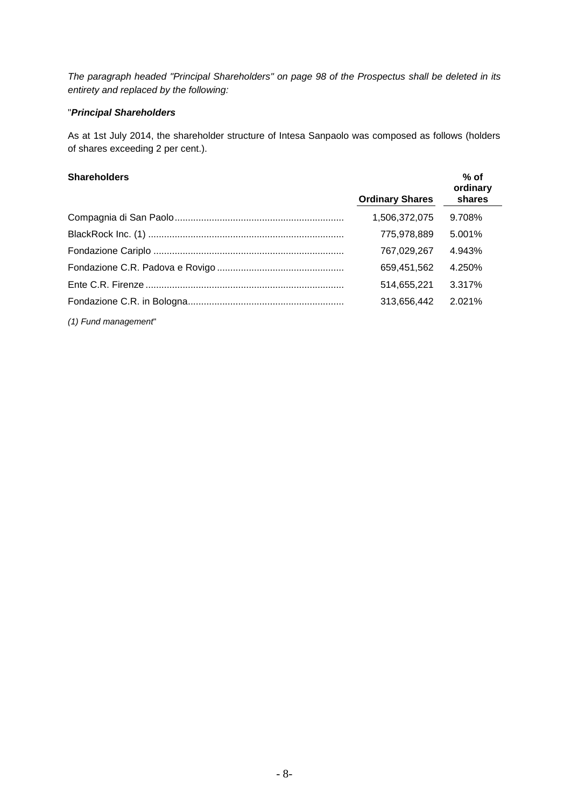*The paragraph headed "Principal Shareholders" on page 98 of the Prospectus shall be deleted in its entirety and replaced by the following:*

# "*Principal Shareholders*

As at 1st July 2014, the shareholder structure of Intesa Sanpaolo was composed as follows (holders of shares exceeding 2 per cent.).

# **Shareholders**

| <b>Shareholders</b> |                        | $%$ of<br>ordinary |
|---------------------|------------------------|--------------------|
|                     | <b>Ordinary Shares</b> | shares             |
|                     | 1,506,372,075          | 9.708%             |
|                     | 775.978.889            | 5.001%             |
|                     | 767.029.267            | 4.943%             |
|                     | 659,451,562            | 4.250%             |
|                     | 514.655.221            | 3.317%             |
|                     | 313,656,442            | 2.021%             |

*(1) Fund management*"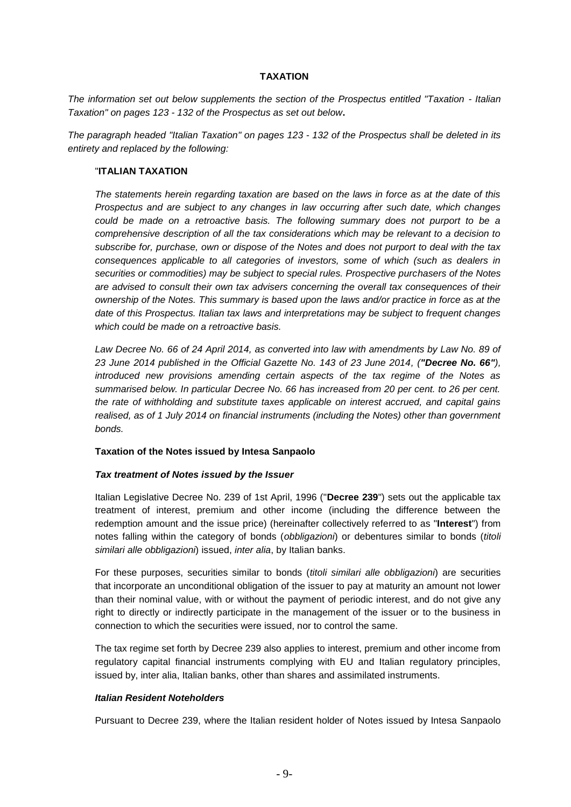#### **TAXATION**

*The information set out below supplements the section of the Prospectus entitled "Taxation - Italian Taxation" on pages 123 - 132 of the Prospectus as set out below***.**

*The paragraph headed "Italian Taxation" on pages 123 - 132 of the Prospectus shall be deleted in its entirety and replaced by the following:*

#### "**ITALIAN TAXATION**

*The statements herein regarding taxation are based on the laws in force as at the date of this Prospectus and are subject to any changes in law occurring after such date, which changes could be made on a retroactive basis. The following summary does not purport to be a comprehensive description of all the tax considerations which may be relevant to a decision to subscribe for, purchase, own or dispose of the Notes and does not purport to deal with the tax consequences applicable to all categories of investors, some of which (such as dealers in securities or commodities) may be subject to special rules. Prospective purchasers of the Notes are advised to consult their own tax advisers concerning the overall tax consequences of their ownership of the Notes. This summary is based upon the laws and/or practice in force as at the date of this Prospectus. Italian tax laws and interpretations may be subject to frequent changes which could be made on a retroactive basis.*

Law Decree No. 66 of 24 April 2014, as converted into law with amendments by Law No. 89 of *23 June 2014 published in the Official Gazette No. 143 of 23 June 2014, ("Decree No. 66"), introduced new provisions amending certain aspects of the tax regime of the Notes as summarised below. In particular Decree No. 66 has increased from 20 per cent. to 26 per cent. the rate of withholding and substitute taxes applicable on interest accrued, and capital gains realised, as of 1 July 2014 on financial instruments (including the Notes) other than government bonds.* 

#### **Taxation of the Notes issued by Intesa Sanpaolo**

#### *Tax treatment of Notes issued by the Issuer*

Italian Legislative Decree No. 239 of 1st April, 1996 ("**Decree 239**") sets out the applicable tax treatment of interest, premium and other income (including the difference between the redemption amount and the issue price) (hereinafter collectively referred to as "**Interest**") from notes falling within the category of bonds (*obbligazioni*) or debentures similar to bonds (*titoli similari alle obbligazioni*) issued, *inter alia*, by Italian banks.

For these purposes, securities similar to bonds (*titoli similari alle obbligazioni*) are securities that incorporate an unconditional obligation of the issuer to pay at maturity an amount not lower than their nominal value, with or without the payment of periodic interest, and do not give any right to directly or indirectly participate in the management of the issuer or to the business in connection to which the securities were issued, nor to control the same.

The tax regime set forth by Decree 239 also applies to interest, premium and other income from regulatory capital financial instruments complying with EU and Italian regulatory principles, issued by, inter alia, Italian banks, other than shares and assimilated instruments.

#### *Italian Resident Noteholders*

Pursuant to Decree 239, where the Italian resident holder of Notes issued by Intesa Sanpaolo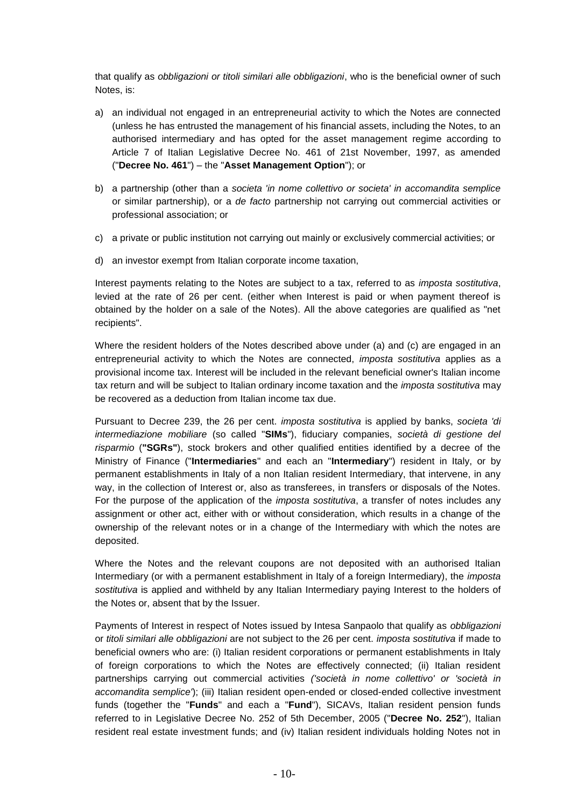that qualify as *obbligazioni or titoli similari alle obbligazioni*, who is the beneficial owner of such Notes, is:

- a) an individual not engaged in an entrepreneurial activity to which the Notes are connected (unless he has entrusted the management of his financial assets, including the Notes, to an authorised intermediary and has opted for the asset management regime according to Article 7 of Italian Legislative Decree No. 461 of 21st November, 1997, as amended ("**Decree No. 461**") – the "**Asset Management Option**"); or
- b) a partnership (other than a *societa 'in nome collettivo or societa' in accomandita semplice*  or similar partnership), or a *de facto* partnership not carrying out commercial activities or professional association; or
- c) a private or public institution not carrying out mainly or exclusively commercial activities; or
- d) an investor exempt from Italian corporate income taxation,

Interest payments relating to the Notes are subject to a tax, referred to as *imposta sostitutiva*, levied at the rate of 26 per cent. (either when Interest is paid or when payment thereof is obtained by the holder on a sale of the Notes). All the above categories are qualified as "net recipients".

Where the resident holders of the Notes described above under (a) and (c) are engaged in an entrepreneurial activity to which the Notes are connected, *imposta sostitutiva* applies as a provisional income tax. Interest will be included in the relevant beneficial owner's Italian income tax return and will be subject to Italian ordinary income taxation and the *imposta sostitutiva* may be recovered as a deduction from Italian income tax due.

Pursuant to Decree 239, the 26 per cent. *imposta sostitutiva* is applied by banks, *societa 'di intermediazione mobiliare* (so called "**SIMs**"), fiduciary companies, *società di gestione del risparmio* (**"SGRs"**), stock brokers and other qualified entities identified by a decree of the Ministry of Finance ("**Intermediaries**" and each an "**Intermediary**") resident in Italy, or by permanent establishments in Italy of a non Italian resident Intermediary, that intervene, in any way, in the collection of Interest or, also as transferees, in transfers or disposals of the Notes. For the purpose of the application of the *imposta sostitutiva*, a transfer of notes includes any assignment or other act, either with or without consideration, which results in a change of the ownership of the relevant notes or in a change of the Intermediary with which the notes are deposited.

Where the Notes and the relevant coupons are not deposited with an authorised Italian Intermediary (or with a permanent establishment in Italy of a foreign Intermediary), the *imposta sostitutiva* is applied and withheld by any Italian Intermediary paying Interest to the holders of the Notes or, absent that by the Issuer.

Payments of Interest in respect of Notes issued by Intesa Sanpaolo that qualify as *obbligazioni*  or *titoli similari alle obbligazioni* are not subject to the 26 per cent. *imposta sostitutiva* if made to beneficial owners who are: (i) Italian resident corporations or permanent establishments in Italy of foreign corporations to which the Notes are effectively connected; (ii) Italian resident partnerships carrying out commercial activities *('società in nome collettivo' or 'società in accomandita semplice'*); (iii) Italian resident open-ended or closed-ended collective investment funds (together the "**Funds**" and each a "**Fund**"), SICAVs, Italian resident pension funds referred to in Legislative Decree No. 252 of 5th December, 2005 ("**Decree No. 252**"), Italian resident real estate investment funds; and (iv) Italian resident individuals holding Notes not in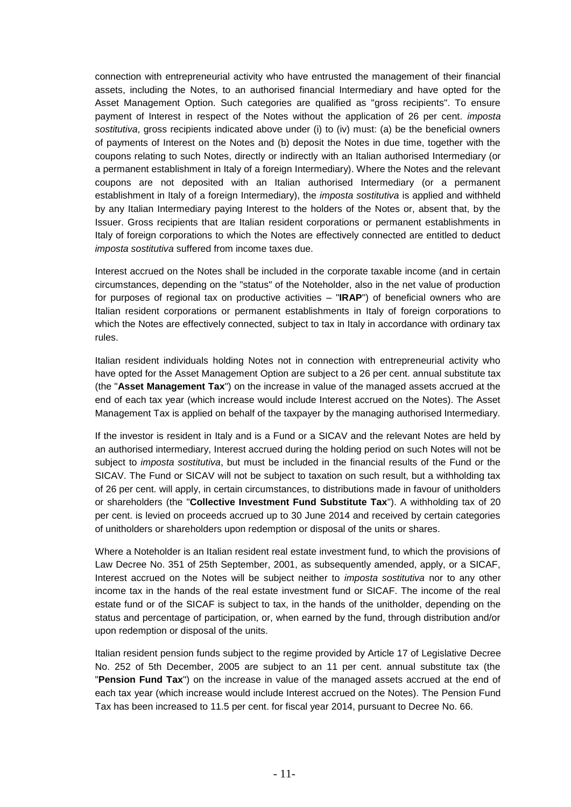connection with entrepreneurial activity who have entrusted the management of their financial assets, including the Notes, to an authorised financial Intermediary and have opted for the Asset Management Option. Such categories are qualified as "gross recipients". To ensure payment of Interest in respect of the Notes without the application of 26 per cent. *imposta sostitutiva*, gross recipients indicated above under (i) to (iv) must: (a) be the beneficial owners of payments of Interest on the Notes and (b) deposit the Notes in due time, together with the coupons relating to such Notes, directly or indirectly with an Italian authorised Intermediary (or a permanent establishment in Italy of a foreign Intermediary). Where the Notes and the relevant coupons are not deposited with an Italian authorised Intermediary (or a permanent establishment in Italy of a foreign Intermediary), the *imposta sostitutiva* is applied and withheld by any Italian Intermediary paying Interest to the holders of the Notes or, absent that, by the Issuer. Gross recipients that are Italian resident corporations or permanent establishments in Italy of foreign corporations to which the Notes are effectively connected are entitled to deduct *imposta sostitutiva* suffered from income taxes due.

Interest accrued on the Notes shall be included in the corporate taxable income (and in certain circumstances, depending on the "status" of the Noteholder, also in the net value of production for purposes of regional tax on productive activities – "**IRAP**") of beneficial owners who are Italian resident corporations or permanent establishments in Italy of foreign corporations to which the Notes are effectively connected, subject to tax in Italy in accordance with ordinary tax rules.

Italian resident individuals holding Notes not in connection with entrepreneurial activity who have opted for the Asset Management Option are subject to a 26 per cent. annual substitute tax (the "**Asset Management Tax**") on the increase in value of the managed assets accrued at the end of each tax year (which increase would include Interest accrued on the Notes). The Asset Management Tax is applied on behalf of the taxpayer by the managing authorised Intermediary.

If the investor is resident in Italy and is a Fund or a SICAV and the relevant Notes are held by an authorised intermediary, Interest accrued during the holding period on such Notes will not be subject to *imposta sostitutiva*, but must be included in the financial results of the Fund or the SICAV. The Fund or SICAV will not be subject to taxation on such result, but a withholding tax of 26 per cent. will apply, in certain circumstances, to distributions made in favour of unitholders or shareholders (the "**Collective Investment Fund Substitute Tax**"). A withholding tax of 20 per cent. is levied on proceeds accrued up to 30 June 2014 and received by certain categories of unitholders or shareholders upon redemption or disposal of the units or shares.

Where a Noteholder is an Italian resident real estate investment fund, to which the provisions of Law Decree No. 351 of 25th September, 2001, as subsequently amended, apply, or a SICAF, Interest accrued on the Notes will be subject neither to *imposta sostitutiva* nor to any other income tax in the hands of the real estate investment fund or SICAF. The income of the real estate fund or of the SICAF is subject to tax, in the hands of the unitholder, depending on the status and percentage of participation, or, when earned by the fund, through distribution and/or upon redemption or disposal of the units.

Italian resident pension funds subject to the regime provided by Article 17 of Legislative Decree No. 252 of 5th December, 2005 are subject to an 11 per cent. annual substitute tax (the "**Pension Fund Tax**") on the increase in value of the managed assets accrued at the end of each tax year (which increase would include Interest accrued on the Notes). The Pension Fund Tax has been increased to 11.5 per cent. for fiscal year 2014, pursuant to Decree No. 66.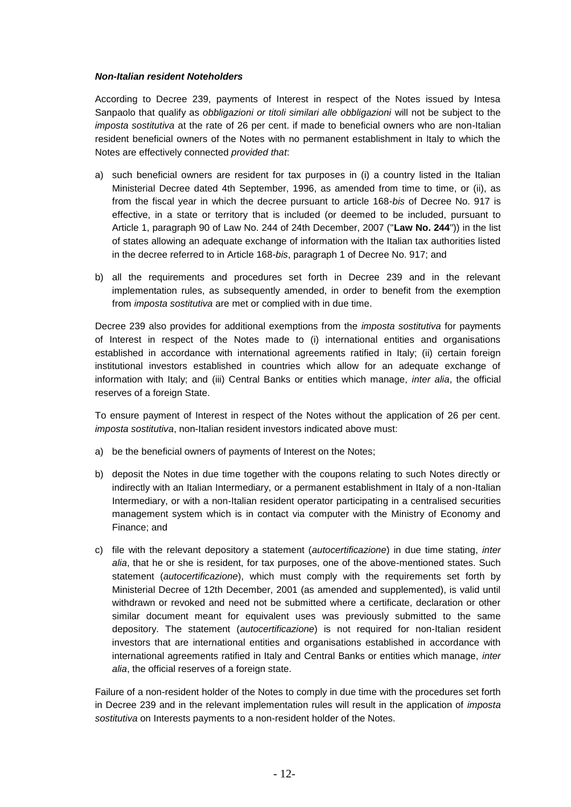#### *Non-Italian resident Noteholders*

According to Decree 239, payments of Interest in respect of the Notes issued by Intesa Sanpaolo that qualify as *obbligazioni or titoli similari alle obbligazioni* will not be subject to the *imposta sostitutiva* at the rate of 26 per cent. if made to beneficial owners who are non-Italian resident beneficial owners of the Notes with no permanent establishment in Italy to which the Notes are effectively connected *provided that*:

- a) such beneficial owners are resident for tax purposes in (i) a country listed in the Italian Ministerial Decree dated 4th September, 1996, as amended from time to time, or (ii), as from the fiscal year in which the decree pursuant to article 168-*bis* of Decree No. 917 is effective, in a state or territory that is included (or deemed to be included, pursuant to Article 1, paragraph 90 of Law No. 244 of 24th December, 2007 ("**Law No. 244**")) in the list of states allowing an adequate exchange of information with the Italian tax authorities listed in the decree referred to in Article 168-*bis*, paragraph 1 of Decree No. 917; and
- b) all the requirements and procedures set forth in Decree 239 and in the relevant implementation rules, as subsequently amended, in order to benefit from the exemption from *imposta sostitutiva* are met or complied with in due time.

Decree 239 also provides for additional exemptions from the *imposta sostitutiva* for payments of Interest in respect of the Notes made to (i) international entities and organisations established in accordance with international agreements ratified in Italy; (ii) certain foreign institutional investors established in countries which allow for an adequate exchange of information with Italy; and (iii) Central Banks or entities which manage, *inter alia*, the official reserves of a foreign State.

To ensure payment of Interest in respect of the Notes without the application of 26 per cent. *imposta sostitutiva*, non-Italian resident investors indicated above must:

- a) be the beneficial owners of payments of Interest on the Notes;
- b) deposit the Notes in due time together with the coupons relating to such Notes directly or indirectly with an Italian Intermediary, or a permanent establishment in Italy of a non-Italian Intermediary, or with a non-Italian resident operator participating in a centralised securities management system which is in contact via computer with the Ministry of Economy and Finance; and
- c) file with the relevant depository a statement (*autocertificazione*) in due time stating, *inter alia*, that he or she is resident, for tax purposes, one of the above-mentioned states. Such statement (*autocertificazione*), which must comply with the requirements set forth by Ministerial Decree of 12th December, 2001 (as amended and supplemented), is valid until withdrawn or revoked and need not be submitted where a certificate, declaration or other similar document meant for equivalent uses was previously submitted to the same depository. The statement (*autocertificazione*) is not required for non-Italian resident investors that are international entities and organisations established in accordance with international agreements ratified in Italy and Central Banks or entities which manage, *inter alia*, the official reserves of a foreign state.

Failure of a non-resident holder of the Notes to comply in due time with the procedures set forth in Decree 239 and in the relevant implementation rules will result in the application of *imposta sostitutiva* on Interests payments to a non-resident holder of the Notes.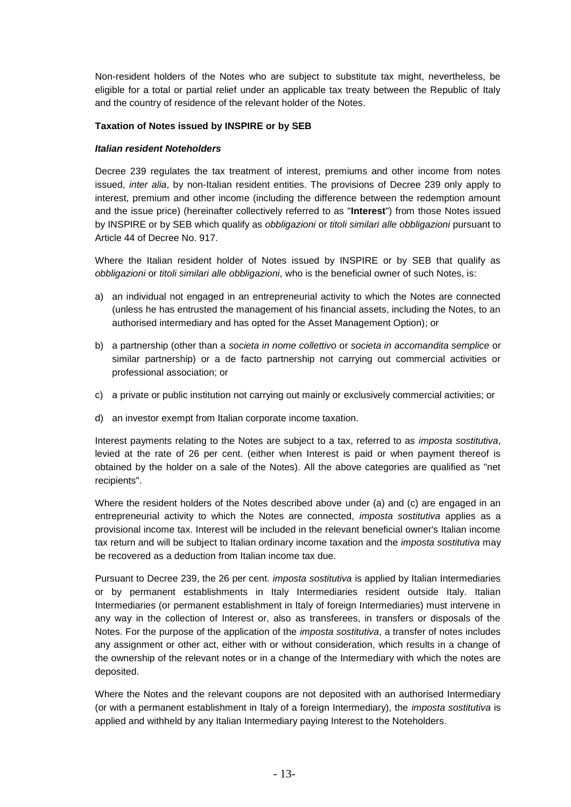Non-resident holders of the Notes who are subject to substitute tax might, nevertheless, be eligible for a total or partial relief under an applicable tax treaty between the Republic of Italy and the country of residence of the relevant holder of the Notes.

#### **Taxation of Notes issued by INSPIRE or by SEB**

#### *Italian resident Noteholders*

Decree 239 regulates the tax treatment of interest, premiums and other income from notes issued, *inter alia*, by non-Italian resident entities. The provisions of Decree 239 only apply to interest, premium and other income (including the difference between the redemption amount and the issue price) (hereinafter collectively referred to as "**Interest**") from those Notes issued by INSPIRE or by SEB which qualify as *obbligazioni* or *titoli similari alle obbligazioni* pursuant to Article 44 of Decree No. 917.

Where the Italian resident holder of Notes issued by INSPIRE or by SEB that qualify as *obbligazioni* or *titoli similari alle obbligazioni*, who is the beneficial owner of such Notes, is:

- a) an individual not engaged in an entrepreneurial activity to which the Notes are connected (unless he has entrusted the management of his financial assets, including the Notes, to an authorised intermediary and has opted for the Asset Management Option); or
- b) a partnership (other than a *societa in nome collettivo* or *societa in accomandita semplice* or similar partnership) or a de facto partnership not carrying out commercial activities or professional association; or
- c) a private or public institution not carrying out mainly or exclusively commercial activities; or
- d) an investor exempt from Italian corporate income taxation.

Interest payments relating to the Notes are subject to a tax, referred to as *imposta sostitutiva*, levied at the rate of 26 per cent. (either when Interest is paid or when payment thereof is obtained by the holder on a sale of the Notes). All the above categories are qualified as "net recipients".

Where the resident holders of the Notes described above under (a) and (c) are engaged in an entrepreneurial activity to which the Notes are connected, *imposta sostitutiva* applies as a provisional income tax. Interest will be included in the relevant beneficial owner's Italian income tax return and will be subject to Italian ordinary income taxation and the *imposta sostitutiva* may be recovered as a deduction from Italian income tax due.

Pursuant to Decree 239, the 26 per cent. *imposta sostitutiva* is applied by Italian Intermediaries or by permanent establishments in Italy Intermediaries resident outside Italy. Italian Intermediaries (or permanent establishment in Italy of foreign Intermediaries) must intervene in any way in the collection of Interest or, also as transferees, in transfers or disposals of the Notes. For the purpose of the application of the *imposta sostitutiva*, a transfer of notes includes any assignment or other act, either with or without consideration, which results in a change of the ownership of the relevant notes or in a change of the Intermediary with which the notes are deposited.

Where the Notes and the relevant coupons are not deposited with an authorised Intermediary (or with a permanent establishment in Italy of a foreign Intermediary), the *imposta sostitutiva* is applied and withheld by any Italian Intermediary paying Interest to the Noteholders.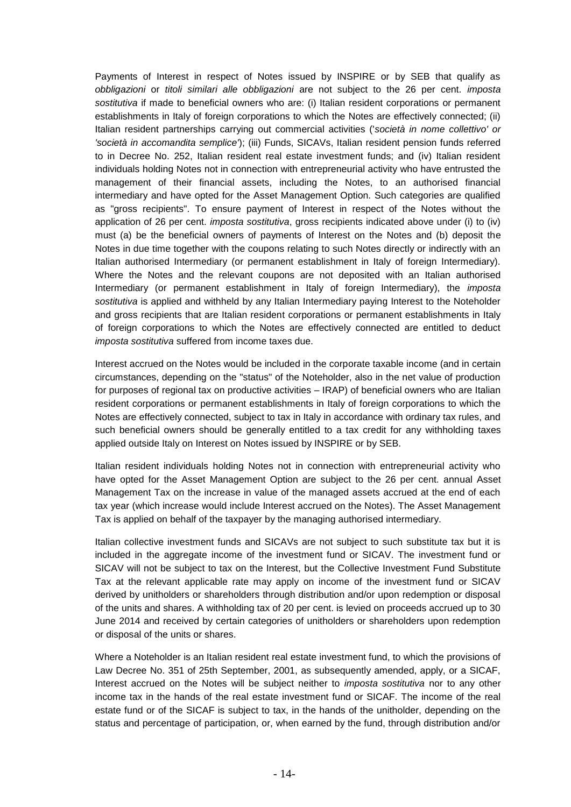Payments of Interest in respect of Notes issued by INSPIRE or by SEB that qualify as *obbligazioni* or *titoli similari alle obbligazioni* are not subject to the 26 per cent. *imposta sostitutiva* if made to beneficial owners who are: (i) Italian resident corporations or permanent establishments in Italy of foreign corporations to which the Notes are effectively connected; (ii) Italian resident partnerships carrying out commercial activities ('*società in nome collettivo' or 'società in accomandita semplice'*); (iii) Funds, SICAVs, Italian resident pension funds referred to in Decree No. 252, Italian resident real estate investment funds; and (iv) Italian resident individuals holding Notes not in connection with entrepreneurial activity who have entrusted the management of their financial assets, including the Notes, to an authorised financial intermediary and have opted for the Asset Management Option. Such categories are qualified as "gross recipients". To ensure payment of Interest in respect of the Notes without the application of 26 per cent. *imposta sostitutiva*, gross recipients indicated above under (i) to (iv) must (a) be the beneficial owners of payments of Interest on the Notes and (b) deposit the Notes in due time together with the coupons relating to such Notes directly or indirectly with an Italian authorised Intermediary (or permanent establishment in Italy of foreign Intermediary). Where the Notes and the relevant coupons are not deposited with an Italian authorised Intermediary (or permanent establishment in Italy of foreign Intermediary), the *imposta sostitutiva* is applied and withheld by any Italian Intermediary paying Interest to the Noteholder and gross recipients that are Italian resident corporations or permanent establishments in Italy of foreign corporations to which the Notes are effectively connected are entitled to deduct *imposta sostitutiva* suffered from income taxes due.

Interest accrued on the Notes would be included in the corporate taxable income (and in certain circumstances, depending on the "status" of the Noteholder, also in the net value of production for purposes of regional tax on productive activities – IRAP) of beneficial owners who are Italian resident corporations or permanent establishments in Italy of foreign corporations to which the Notes are effectively connected, subject to tax in Italy in accordance with ordinary tax rules, and such beneficial owners should be generally entitled to a tax credit for any withholding taxes applied outside Italy on Interest on Notes issued by INSPIRE or by SEB.

Italian resident individuals holding Notes not in connection with entrepreneurial activity who have opted for the Asset Management Option are subject to the 26 per cent. annual Asset Management Tax on the increase in value of the managed assets accrued at the end of each tax year (which increase would include Interest accrued on the Notes). The Asset Management Tax is applied on behalf of the taxpayer by the managing authorised intermediary.

Italian collective investment funds and SICAVs are not subject to such substitute tax but it is included in the aggregate income of the investment fund or SICAV. The investment fund or SICAV will not be subject to tax on the Interest, but the Collective Investment Fund Substitute Tax at the relevant applicable rate may apply on income of the investment fund or SICAV derived by unitholders or shareholders through distribution and/or upon redemption or disposal of the units and shares. A withholding tax of 20 per cent. is levied on proceeds accrued up to 30 June 2014 and received by certain categories of unitholders or shareholders upon redemption or disposal of the units or shares.

Where a Noteholder is an Italian resident real estate investment fund, to which the provisions of Law Decree No. 351 of 25th September, 2001, as subsequently amended, apply, or a SICAF, Interest accrued on the Notes will be subject neither to *imposta sostitutiva* nor to any other income tax in the hands of the real estate investment fund or SICAF. The income of the real estate fund or of the SICAF is subject to tax, in the hands of the unitholder, depending on the status and percentage of participation, or, when earned by the fund, through distribution and/or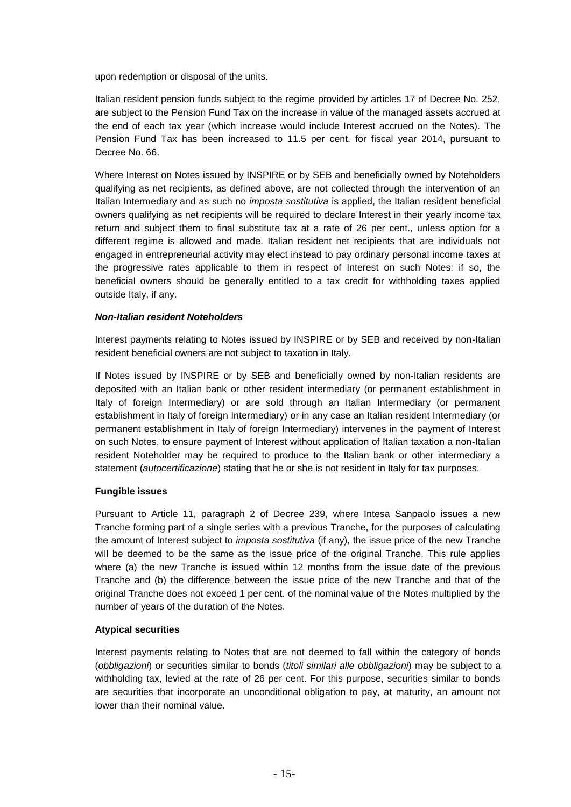upon redemption or disposal of the units.

Italian resident pension funds subject to the regime provided by articles 17 of Decree No. 252, are subject to the Pension Fund Tax on the increase in value of the managed assets accrued at the end of each tax year (which increase would include Interest accrued on the Notes). The Pension Fund Tax has been increased to 11.5 per cent. for fiscal year 2014, pursuant to Decree No. 66.

Where Interest on Notes issued by INSPIRE or by SEB and beneficially owned by Noteholders qualifying as net recipients, as defined above, are not collected through the intervention of an Italian Intermediary and as such no *imposta sostitutiva* is applied, the Italian resident beneficial owners qualifying as net recipients will be required to declare Interest in their yearly income tax return and subject them to final substitute tax at a rate of 26 per cent., unless option for a different regime is allowed and made. Italian resident net recipients that are individuals not engaged in entrepreneurial activity may elect instead to pay ordinary personal income taxes at the progressive rates applicable to them in respect of Interest on such Notes: if so, the beneficial owners should be generally entitled to a tax credit for withholding taxes applied outside Italy, if any.

# *Non-Italian resident Noteholders*

Interest payments relating to Notes issued by INSPIRE or by SEB and received by non-Italian resident beneficial owners are not subject to taxation in Italy.

If Notes issued by INSPIRE or by SEB and beneficially owned by non-Italian residents are deposited with an Italian bank or other resident intermediary (or permanent establishment in Italy of foreign Intermediary) or are sold through an Italian Intermediary (or permanent establishment in Italy of foreign Intermediary) or in any case an Italian resident Intermediary (or permanent establishment in Italy of foreign Intermediary) intervenes in the payment of Interest on such Notes, to ensure payment of Interest without application of Italian taxation a non-Italian resident Noteholder may be required to produce to the Italian bank or other intermediary a statement (*autocertificazione*) stating that he or she is not resident in Italy for tax purposes.

# **Fungible issues**

Pursuant to Article 11, paragraph 2 of Decree 239, where Intesa Sanpaolo issues a new Tranche forming part of a single series with a previous Tranche, for the purposes of calculating the amount of Interest subject to *imposta sostitutiva* (if any), the issue price of the new Tranche will be deemed to be the same as the issue price of the original Tranche. This rule applies where (a) the new Tranche is issued within 12 months from the issue date of the previous Tranche and (b) the difference between the issue price of the new Tranche and that of the original Tranche does not exceed 1 per cent. of the nominal value of the Notes multiplied by the number of years of the duration of the Notes.

# **Atypical securities**

Interest payments relating to Notes that are not deemed to fall within the category of bonds (*obbligazioni*) or securities similar to bonds (*titoli similari alle obbligazioni*) may be subject to a withholding tax, levied at the rate of 26 per cent. For this purpose, securities similar to bonds are securities that incorporate an unconditional obligation to pay, at maturity, an amount not lower than their nominal value.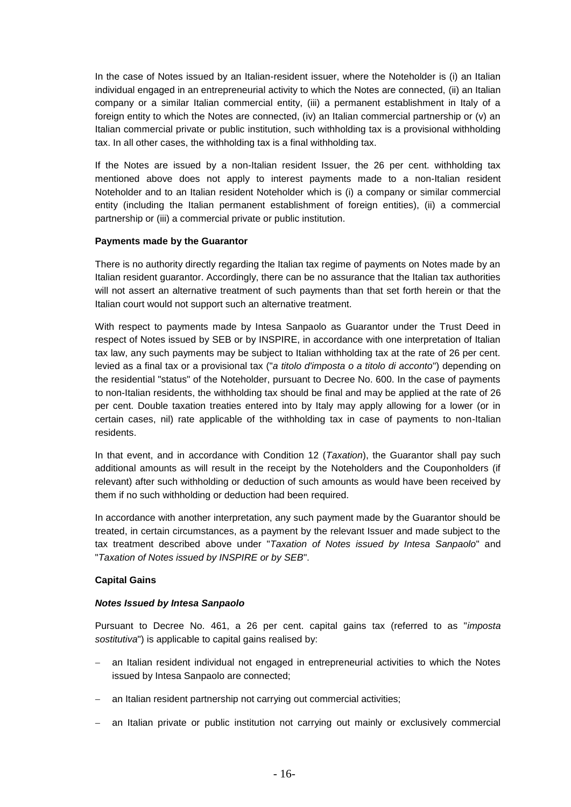In the case of Notes issued by an Italian-resident issuer, where the Noteholder is (i) an Italian individual engaged in an entrepreneurial activity to which the Notes are connected, (ii) an Italian company or a similar Italian commercial entity, (iii) a permanent establishment in Italy of a foreign entity to which the Notes are connected, (iv) an Italian commercial partnership or (v) an Italian commercial private or public institution, such withholding tax is a provisional withholding tax. In all other cases, the withholding tax is a final withholding tax.

If the Notes are issued by a non-Italian resident Issuer, the 26 per cent. withholding tax mentioned above does not apply to interest payments made to a non-Italian resident Noteholder and to an Italian resident Noteholder which is (i) a company or similar commercial entity (including the Italian permanent establishment of foreign entities), (ii) a commercial partnership or (iii) a commercial private or public institution.

#### **Payments made by the Guarantor**

There is no authority directly regarding the Italian tax regime of payments on Notes made by an Italian resident guarantor. Accordingly, there can be no assurance that the Italian tax authorities will not assert an alternative treatment of such payments than that set forth herein or that the Italian court would not support such an alternative treatment.

With respect to payments made by Intesa Sanpaolo as Guarantor under the Trust Deed in respect of Notes issued by SEB or by INSPIRE, in accordance with one interpretation of Italian tax law, any such payments may be subject to Italian withholding tax at the rate of 26 per cent. levied as a final tax or a provisional tax ("*a titolo d'imposta o a titolo di acconto*") depending on the residential "status" of the Noteholder, pursuant to Decree No. 600. In the case of payments to non-Italian residents, the withholding tax should be final and may be applied at the rate of 26 per cent. Double taxation treaties entered into by Italy may apply allowing for a lower (or in certain cases, nil) rate applicable of the withholding tax in case of payments to non-Italian residents.

In that event, and in accordance with Condition 12 (*Taxation*), the Guarantor shall pay such additional amounts as will result in the receipt by the Noteholders and the Couponholders (if relevant) after such withholding or deduction of such amounts as would have been received by them if no such withholding or deduction had been required.

In accordance with another interpretation, any such payment made by the Guarantor should be treated, in certain circumstances, as a payment by the relevant Issuer and made subject to the tax treatment described above under "*Taxation of Notes issued by Intesa Sanpaolo*" and "*Taxation of Notes issued by INSPIRE or by SEB*".

# **Capital Gains**

#### *Notes Issued by Intesa Sanpaolo*

Pursuant to Decree No. 461, a 26 per cent. capital gains tax (referred to as "*imposta sostitutiva*") is applicable to capital gains realised by:

- an Italian resident individual not engaged in entrepreneurial activities to which the Notes issued by Intesa Sanpaolo are connected;
- an Italian resident partnership not carrying out commercial activities;
- an Italian private or public institution not carrying out mainly or exclusively commercial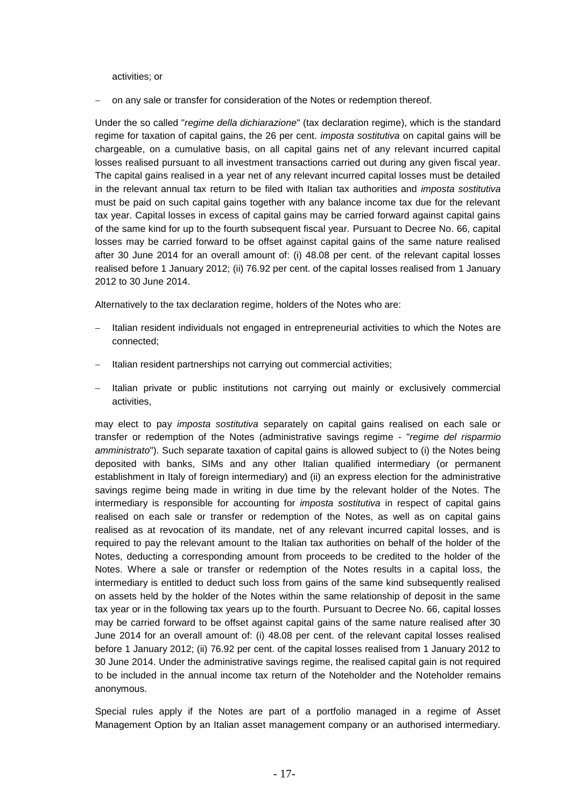activities; or

on any sale or transfer for consideration of the Notes or redemption thereof.

Under the so called "*regime della dichiarazione*" (tax declaration regime), which is the standard regime for taxation of capital gains, the 26 per cent. *imposta sostitutiva* on capital gains will be chargeable, on a cumulative basis, on all capital gains net of any relevant incurred capital losses realised pursuant to all investment transactions carried out during any given fiscal year. The capital gains realised in a year net of any relevant incurred capital losses must be detailed in the relevant annual tax return to be filed with Italian tax authorities and *imposta sostitutiva* must be paid on such capital gains together with any balance income tax due for the relevant tax year. Capital losses in excess of capital gains may be carried forward against capital gains of the same kind for up to the fourth subsequent fiscal year. Pursuant to Decree No. 66, capital losses may be carried forward to be offset against capital gains of the same nature realised after 30 June 2014 for an overall amount of: (i) 48.08 per cent. of the relevant capital losses realised before 1 January 2012; (ii) 76.92 per cent. of the capital losses realised from 1 January 2012 to 30 June 2014.

Alternatively to the tax declaration regime, holders of the Notes who are:

- Italian resident individuals not engaged in entrepreneurial activities to which the Notes are connected;
- Italian resident partnerships not carrying out commercial activities;
- Italian private or public institutions not carrying out mainly or exclusively commercial activities,

may elect to pay *imposta sostitutiva* separately on capital gains realised on each sale or transfer or redemption of the Notes (administrative savings regime - "*regime del risparmio amministrato*"). Such separate taxation of capital gains is allowed subject to (i) the Notes being deposited with banks, SIMs and any other Italian qualified intermediary (or permanent establishment in Italy of foreign intermediary) and (ii) an express election for the administrative savings regime being made in writing in due time by the relevant holder of the Notes. The intermediary is responsible for accounting for *imposta sostitutiva* in respect of capital gains realised on each sale or transfer or redemption of the Notes, as well as on capital gains realised as at revocation of its mandate, net of any relevant incurred capital losses, and is required to pay the relevant amount to the Italian tax authorities on behalf of the holder of the Notes, deducting a corresponding amount from proceeds to be credited to the holder of the Notes. Where a sale or transfer or redemption of the Notes results in a capital loss, the intermediary is entitled to deduct such loss from gains of the same kind subsequently realised on assets held by the holder of the Notes within the same relationship of deposit in the same tax year or in the following tax years up to the fourth. Pursuant to Decree No. 66, capital losses may be carried forward to be offset against capital gains of the same nature realised after 30 June 2014 for an overall amount of: (i) 48.08 per cent. of the relevant capital losses realised before 1 January 2012; (ii) 76.92 per cent. of the capital losses realised from 1 January 2012 to 30 June 2014. Under the administrative savings regime, the realised capital gain is not required to be included in the annual income tax return of the Noteholder and the Noteholder remains anonymous.

Special rules apply if the Notes are part of a portfolio managed in a regime of Asset Management Option by an Italian asset management company or an authorised intermediary.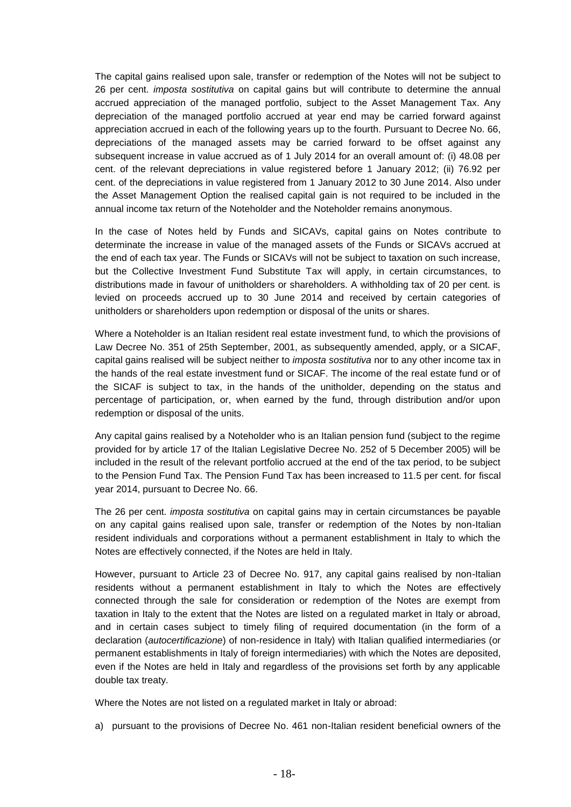The capital gains realised upon sale, transfer or redemption of the Notes will not be subject to 26 per cent. *imposta sostitutiva* on capital gains but will contribute to determine the annual accrued appreciation of the managed portfolio, subject to the Asset Management Tax. Any depreciation of the managed portfolio accrued at year end may be carried forward against appreciation accrued in each of the following years up to the fourth. Pursuant to Decree No. 66, depreciations of the managed assets may be carried forward to be offset against any subsequent increase in value accrued as of 1 July 2014 for an overall amount of: (i) 48.08 per cent. of the relevant depreciations in value registered before 1 January 2012; (ii) 76.92 per cent. of the depreciations in value registered from 1 January 2012 to 30 June 2014. Also under the Asset Management Option the realised capital gain is not required to be included in the annual income tax return of the Noteholder and the Noteholder remains anonymous.

In the case of Notes held by Funds and SICAVs, capital gains on Notes contribute to determinate the increase in value of the managed assets of the Funds or SICAVs accrued at the end of each tax year. The Funds or SICAVs will not be subject to taxation on such increase, but the Collective Investment Fund Substitute Tax will apply, in certain circumstances, to distributions made in favour of unitholders or shareholders. A withholding tax of 20 per cent. is levied on proceeds accrued up to 30 June 2014 and received by certain categories of unitholders or shareholders upon redemption or disposal of the units or shares.

Where a Noteholder is an Italian resident real estate investment fund, to which the provisions of Law Decree No. 351 of 25th September, 2001, as subsequently amended, apply, or a SICAF, capital gains realised will be subject neither to *imposta sostitutiva* nor to any other income tax in the hands of the real estate investment fund or SICAF. The income of the real estate fund or of the SICAF is subject to tax, in the hands of the unitholder, depending on the status and percentage of participation, or, when earned by the fund, through distribution and/or upon redemption or disposal of the units.

Any capital gains realised by a Noteholder who is an Italian pension fund (subject to the regime provided for by article 17 of the Italian Legislative Decree No. 252 of 5 December 2005) will be included in the result of the relevant portfolio accrued at the end of the tax period, to be subject to the Pension Fund Tax. The Pension Fund Tax has been increased to 11.5 per cent. for fiscal year 2014, pursuant to Decree No. 66.

The 26 per cent. *imposta sostitutiva* on capital gains may in certain circumstances be payable on any capital gains realised upon sale, transfer or redemption of the Notes by non-Italian resident individuals and corporations without a permanent establishment in Italy to which the Notes are effectively connected, if the Notes are held in Italy.

However, pursuant to Article 23 of Decree No. 917, any capital gains realised by non-Italian residents without a permanent establishment in Italy to which the Notes are effectively connected through the sale for consideration or redemption of the Notes are exempt from taxation in Italy to the extent that the Notes are listed on a regulated market in Italy or abroad, and in certain cases subject to timely filing of required documentation (in the form of a declaration (*autocertificazione*) of non-residence in Italy) with Italian qualified intermediaries (or permanent establishments in Italy of foreign intermediaries) with which the Notes are deposited, even if the Notes are held in Italy and regardless of the provisions set forth by any applicable double tax treaty.

Where the Notes are not listed on a regulated market in Italy or abroad:

a) pursuant to the provisions of Decree No. 461 non-Italian resident beneficial owners of the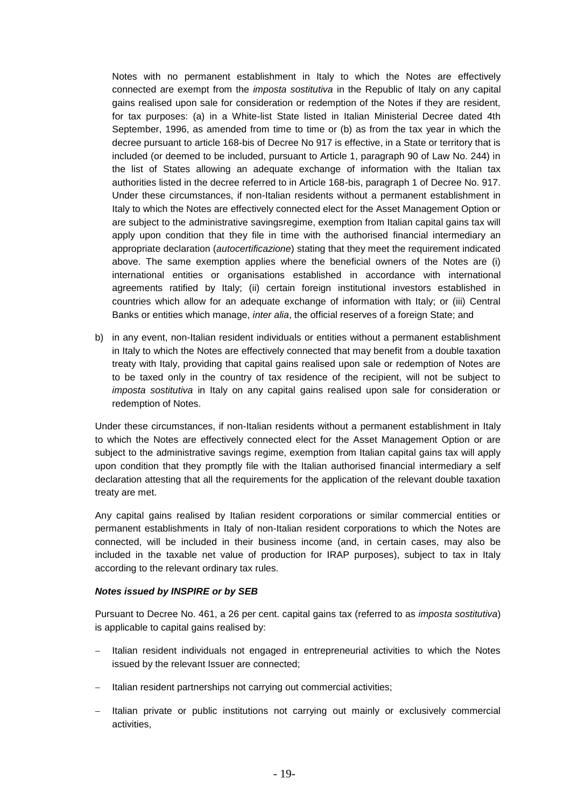Notes with no permanent establishment in Italy to which the Notes are effectively connected are exempt from the *imposta sostitutiva* in the Republic of Italy on any capital gains realised upon sale for consideration or redemption of the Notes if they are resident, for tax purposes: (a) in a White-list State listed in Italian Ministerial Decree dated 4th September, 1996, as amended from time to time or (b) as from the tax year in which the decree pursuant to article 168-bis of Decree No 917 is effective, in a State or territory that is included (or deemed to be included, pursuant to Article 1, paragraph 90 of Law No. 244) in the list of States allowing an adequate exchange of information with the Italian tax authorities listed in the decree referred to in Article 168-bis, paragraph 1 of Decree No. 917. Under these circumstances, if non-Italian residents without a permanent establishment in Italy to which the Notes are effectively connected elect for the Asset Management Option or are subject to the administrative savingsregime, exemption from Italian capital gains tax will apply upon condition that they file in time with the authorised financial intermediary an appropriate declaration (*autocertificazione*) stating that they meet the requirement indicated above. The same exemption applies where the beneficial owners of the Notes are (i) international entities or organisations established in accordance with international agreements ratified by Italy; (ii) certain foreign institutional investors established in countries which allow for an adequate exchange of information with Italy; or (iii) Central Banks or entities which manage, *inter alia*, the official reserves of a foreign State; and

b) in any event, non-Italian resident individuals or entities without a permanent establishment in Italy to which the Notes are effectively connected that may benefit from a double taxation treaty with Italy, providing that capital gains realised upon sale or redemption of Notes are to be taxed only in the country of tax residence of the recipient, will not be subject to *imposta sostitutiva* in Italy on any capital gains realised upon sale for consideration or redemption of Notes.

Under these circumstances, if non-Italian residents without a permanent establishment in Italy to which the Notes are effectively connected elect for the Asset Management Option or are subject to the administrative savings regime, exemption from Italian capital gains tax will apply upon condition that they promptly file with the Italian authorised financial intermediary a self declaration attesting that all the requirements for the application of the relevant double taxation treaty are met.

Any capital gains realised by Italian resident corporations or similar commercial entities or permanent establishments in Italy of non-Italian resident corporations to which the Notes are connected, will be included in their business income (and, in certain cases, may also be included in the taxable net value of production for IRAP purposes), subject to tax in Italy according to the relevant ordinary tax rules.

# *Notes issued by INSPIRE or by SEB*

Pursuant to Decree No. 461, a 26 per cent. capital gains tax (referred to as *imposta sostitutiva*) is applicable to capital gains realised by:

- Italian resident individuals not engaged in entrepreneurial activities to which the Notes issued by the relevant Issuer are connected;
- Italian resident partnerships not carrying out commercial activities;
- Italian private or public institutions not carrying out mainly or exclusively commercial activities,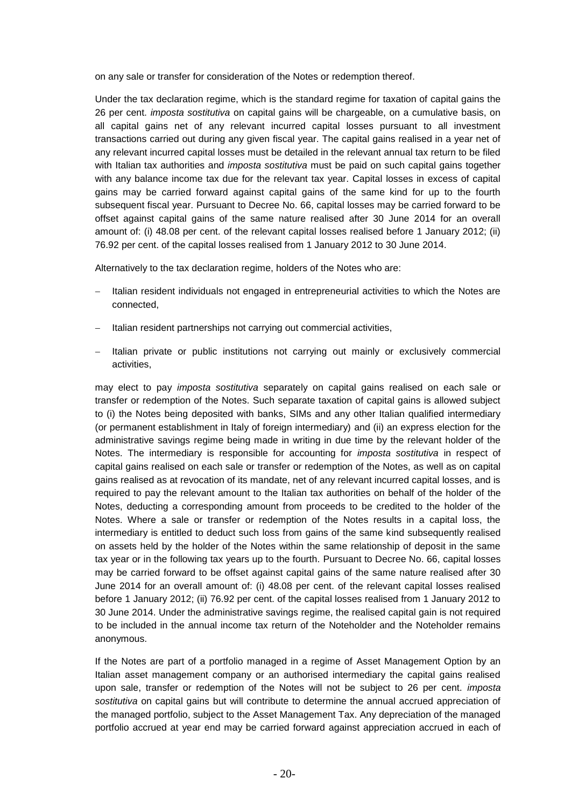on any sale or transfer for consideration of the Notes or redemption thereof.

Under the tax declaration regime, which is the standard regime for taxation of capital gains the 26 per cent. *imposta sostitutiva* on capital gains will be chargeable, on a cumulative basis, on all capital gains net of any relevant incurred capital losses pursuant to all investment transactions carried out during any given fiscal year. The capital gains realised in a year net of any relevant incurred capital losses must be detailed in the relevant annual tax return to be filed with Italian tax authorities and *imposta sostitutiva* must be paid on such capital gains together with any balance income tax due for the relevant tax year. Capital losses in excess of capital gains may be carried forward against capital gains of the same kind for up to the fourth subsequent fiscal year. Pursuant to Decree No. 66, capital losses may be carried forward to be offset against capital gains of the same nature realised after 30 June 2014 for an overall amount of: (i) 48.08 per cent. of the relevant capital losses realised before 1 January 2012; (ii) 76.92 per cent. of the capital losses realised from 1 January 2012 to 30 June 2014.

Alternatively to the tax declaration regime, holders of the Notes who are:

- Italian resident individuals not engaged in entrepreneurial activities to which the Notes are connected,
- Italian resident partnerships not carrying out commercial activities,
- Italian private or public institutions not carrying out mainly or exclusively commercial activities,

may elect to pay *imposta sostitutiva* separately on capital gains realised on each sale or transfer or redemption of the Notes. Such separate taxation of capital gains is allowed subject to (i) the Notes being deposited with banks, SIMs and any other Italian qualified intermediary (or permanent establishment in Italy of foreign intermediary) and (ii) an express election for the administrative savings regime being made in writing in due time by the relevant holder of the Notes. The intermediary is responsible for accounting for *imposta sostitutiva* in respect of capital gains realised on each sale or transfer or redemption of the Notes, as well as on capital gains realised as at revocation of its mandate, net of any relevant incurred capital losses, and is required to pay the relevant amount to the Italian tax authorities on behalf of the holder of the Notes, deducting a corresponding amount from proceeds to be credited to the holder of the Notes. Where a sale or transfer or redemption of the Notes results in a capital loss, the intermediary is entitled to deduct such loss from gains of the same kind subsequently realised on assets held by the holder of the Notes within the same relationship of deposit in the same tax year or in the following tax years up to the fourth. Pursuant to Decree No. 66, capital losses may be carried forward to be offset against capital gains of the same nature realised after 30 June 2014 for an overall amount of: (i) 48.08 per cent. of the relevant capital losses realised before 1 January 2012; (ii) 76.92 per cent. of the capital losses realised from 1 January 2012 to 30 June 2014. Under the administrative savings regime, the realised capital gain is not required to be included in the annual income tax return of the Noteholder and the Noteholder remains anonymous.

If the Notes are part of a portfolio managed in a regime of Asset Management Option by an Italian asset management company or an authorised intermediary the capital gains realised upon sale, transfer or redemption of the Notes will not be subject to 26 per cent. *imposta sostitutiva* on capital gains but will contribute to determine the annual accrued appreciation of the managed portfolio, subject to the Asset Management Tax. Any depreciation of the managed portfolio accrued at year end may be carried forward against appreciation accrued in each of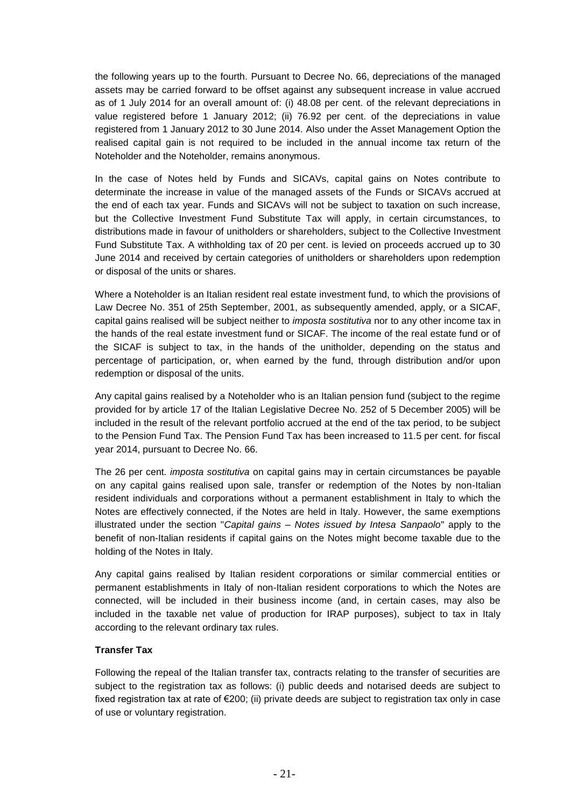the following years up to the fourth. Pursuant to Decree No. 66, depreciations of the managed assets may be carried forward to be offset against any subsequent increase in value accrued as of 1 July 2014 for an overall amount of: (i) 48.08 per cent. of the relevant depreciations in value registered before 1 January 2012; (ii) 76.92 per cent. of the depreciations in value registered from 1 January 2012 to 30 June 2014. Also under the Asset Management Option the realised capital gain is not required to be included in the annual income tax return of the Noteholder and the Noteholder, remains anonymous.

In the case of Notes held by Funds and SICAVs, capital gains on Notes contribute to determinate the increase in value of the managed assets of the Funds or SICAVs accrued at the end of each tax year. Funds and SICAVs will not be subject to taxation on such increase, but the Collective Investment Fund Substitute Tax will apply, in certain circumstances, to distributions made in favour of unitholders or shareholders, subject to the Collective Investment Fund Substitute Tax. A withholding tax of 20 per cent. is levied on proceeds accrued up to 30 June 2014 and received by certain categories of unitholders or shareholders upon redemption or disposal of the units or shares.

Where a Noteholder is an Italian resident real estate investment fund, to which the provisions of Law Decree No. 351 of 25th September, 2001, as subsequently amended, apply, or a SICAF, capital gains realised will be subject neither to *imposta sostitutiva* nor to any other income tax in the hands of the real estate investment fund or SICAF. The income of the real estate fund or of the SICAF is subject to tax, in the hands of the unitholder, depending on the status and percentage of participation, or, when earned by the fund, through distribution and/or upon redemption or disposal of the units.

Any capital gains realised by a Noteholder who is an Italian pension fund (subject to the regime provided for by article 17 of the Italian Legislative Decree No. 252 of 5 December 2005) will be included in the result of the relevant portfolio accrued at the end of the tax period, to be subject to the Pension Fund Tax. The Pension Fund Tax has been increased to 11.5 per cent. for fiscal year 2014, pursuant to Decree No. 66.

The 26 per cent. *imposta sostitutiva* on capital gains may in certain circumstances be payable on any capital gains realised upon sale, transfer or redemption of the Notes by non-Italian resident individuals and corporations without a permanent establishment in Italy to which the Notes are effectively connected, if the Notes are held in Italy. However, the same exemptions illustrated under the section "*Capital gains – Notes issued by Intesa Sanpaolo*" apply to the benefit of non-Italian residents if capital gains on the Notes might become taxable due to the holding of the Notes in Italy.

Any capital gains realised by Italian resident corporations or similar commercial entities or permanent establishments in Italy of non-Italian resident corporations to which the Notes are connected, will be included in their business income (and, in certain cases, may also be included in the taxable net value of production for IRAP purposes), subject to tax in Italy according to the relevant ordinary tax rules.

# **Transfer Tax**

Following the repeal of the Italian transfer tax, contracts relating to the transfer of securities are subject to the registration tax as follows: (i) public deeds and notarised deeds are subject to fixed registration tax at rate of €200; (ii) private deeds are subject to registration tax only in case of use or voluntary registration.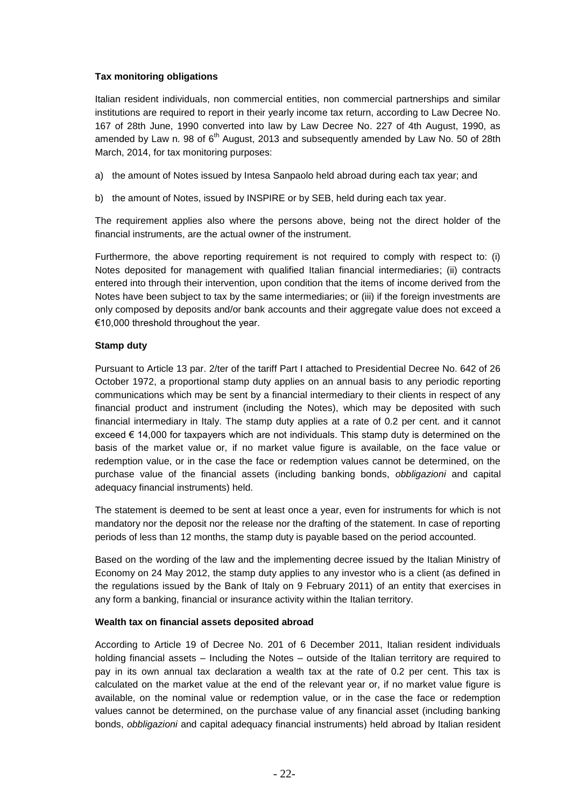# **Tax monitoring obligations**

Italian resident individuals, non commercial entities, non commercial partnerships and similar institutions are required to report in their yearly income tax return, according to Law Decree No. 167 of 28th June, 1990 converted into law by Law Decree No. 227 of 4th August, 1990, as amended by Law n. 98 of  $6<sup>th</sup>$  August, 2013 and subsequently amended by Law No. 50 of 28th March, 2014, for tax monitoring purposes:

- a) the amount of Notes issued by Intesa Sanpaolo held abroad during each tax year; and
- b) the amount of Notes, issued by INSPIRE or by SEB, held during each tax year.

The requirement applies also where the persons above, being not the direct holder of the financial instruments, are the actual owner of the instrument.

Furthermore, the above reporting requirement is not required to comply with respect to: (i) Notes deposited for management with qualified Italian financial intermediaries; (ii) contracts entered into through their intervention, upon condition that the items of income derived from the Notes have been subject to tax by the same intermediaries; or (iii) if the foreign investments are only composed by deposits and/or bank accounts and their aggregate value does not exceed a €10,000 threshold throughout the year.

# **Stamp duty**

Pursuant to Article 13 par. 2/ter of the tariff Part I attached to Presidential Decree No. 642 of 26 October 1972, a proportional stamp duty applies on an annual basis to any periodic reporting communications which may be sent by a financial intermediary to their clients in respect of any financial product and instrument (including the Notes), which may be deposited with such financial intermediary in Italy. The stamp duty applies at a rate of 0.2 per cent. and it cannot exceed € 14,000 for taxpayers which are not individuals. This stamp duty is determined on the basis of the market value or, if no market value figure is available, on the face value or redemption value, or in the case the face or redemption values cannot be determined, on the purchase value of the financial assets (including banking bonds, *obbligazioni* and capital adequacy financial instruments) held.

The statement is deemed to be sent at least once a year, even for instruments for which is not mandatory nor the deposit nor the release nor the drafting of the statement. In case of reporting periods of less than 12 months, the stamp duty is payable based on the period accounted.

Based on the wording of the law and the implementing decree issued by the Italian Ministry of Economy on 24 May 2012, the stamp duty applies to any investor who is a client (as defined in the regulations issued by the Bank of Italy on 9 February 2011) of an entity that exercises in any form a banking, financial or insurance activity within the Italian territory.

# **Wealth tax on financial assets deposited abroad**

According to Article 19 of Decree No. 201 of 6 December 2011, Italian resident individuals holding financial assets – Including the Notes – outside of the Italian territory are required to pay in its own annual tax declaration a wealth tax at the rate of 0.2 per cent. This tax is calculated on the market value at the end of the relevant year or, if no market value figure is available, on the nominal value or redemption value, or in the case the face or redemption values cannot be determined, on the purchase value of any financial asset (including banking bonds, *obbligazioni* and capital adequacy financial instruments) held abroad by Italian resident